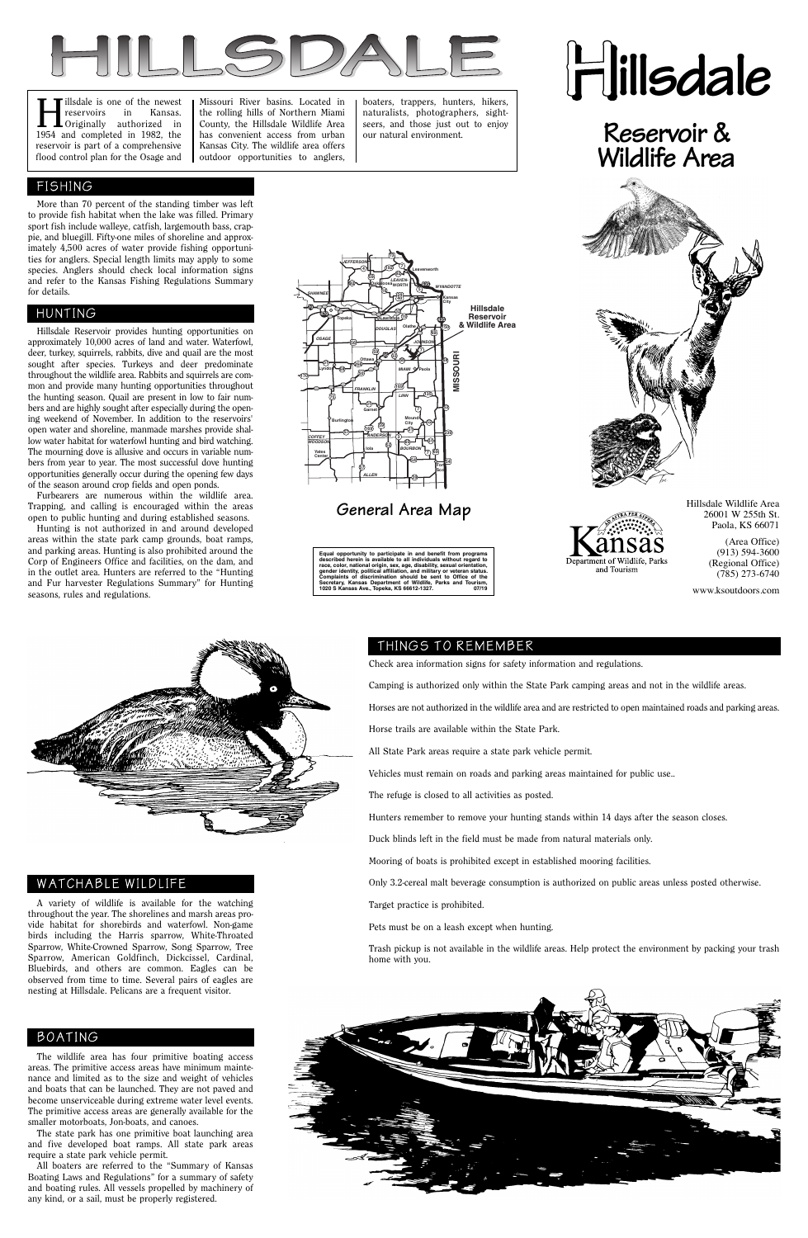# **Hillsdale**

# **Reservoir & Wildlife Area**



# Department of Wildlife, Parks and Tourism



I illsdale is one of the newest<br>
reservoirs in Kansas.<br>
Originally authorized in<br>
1054 and completed in 1082 the reservoirs in Kansas. 1954 and completed in 1982, the reservoir is part of a comprehensive flood control plan for the Osage and

Missouri River basins. Located in the rolling hills of Northern Miami County, the Hillsdale Wildlife Area has convenient access from urban Kansas City. The wildlife area offers outdoor opportunities to anglers, boaters, trappers, hunters, hikers, naturalists, photographers, sightseers, and those just out to enjoy our natural environment.



**General Area Map**

 More than 70 percent of the standing timber was left to provide fish habitat when the lake was filled. Primary sport fish include walleye, catfish, largemouth bass, crappie, and bluegill. Fifty-one miles of shoreline and approximately 4,500 acres of water provide fishing opportunities for anglers. Special length limits may apply to some species. Anglers should check local information signs and refer to the Kansas Fishing Regulations Summary for details.

 The wildlife area has four primitive boating access areas. The primitive access areas have minimum maintenance and limited as to the size and weight of vehicles and boats that can be launched. They are not paved and become unserviceable during extreme water level events. The primitive access areas are generally available for the smaller motorboats, Jon-boats, and canoes.

 The state park has one primitive boat launching area and five developed boat ramps. All state park areas require a state park vehicle permit.

 All boaters are referred to the "Summary of Kansas Boating Laws and Regulations" for a summary of safety and boating rules. All vessels propelled by machinery of any kind, or a sail, must be properly registered.

### FISHING

#### BOATING

 Hillsdale Reservoir provides hunting opportunities on approximately 10,000 acres of land and water. Waterfowl, deer, turkey, squirrels, rabbits, dive and quail are the most sought after species. Turkeys and deer predominate throughout the wildlife area. Rabbits and squirrels are common and provide many hunting opportunities throughout the hunting season. Quail are present in low to fair numbers and are highly sought after especially during the opening weekend of November. In addition to the reservoirs' open water and shoreline, manmade marshes provide shallow water habitat for waterfowl hunting and bird watching. The mourning dove is allusive and occurs in variable numbers from year to year. The most successful dove hunting opportunities generally occur during the opening few days of the season around crop fields and open ponds.

 Furbearers are numerous within the wildlife area. Trapping, and calling is encouraged within the areas open to public hunting and during established seasons.

 Hunting is not authorized in and around developed areas within the state park camp grounds, boat ramps, and parking areas. Hunting is also prohibited around the Corp of Engineers Office and facilities, on the dam, and in the outlet area. Hunters are referred to the "Hunting and Fur harvester Regulations Summary" for Hunting seasons, rules and regulations.

# HUNTING

## THINGS TO REMEMBER

Check area information signs for safety information and regulations.

Camping is authorized only within the State Park camping areas and not in the wildlife areas.

Horses are not authorized in the wildlife area and are restricted to open maintained roads and parking areas.

Horse trails are available within the State Park.

All State Park areas require a state park vehicle permit.

Vehicles must remain on roads and parking areas maintained for public use..

The refuge is closed to all activities as posted.

Hunters remember to remove your hunting stands within 14 days after the season closes.

Duck blinds left in the field must be made from natural materials only.

Mooring of boats is prohibited except in established mooring facilities.

Only 3.2-cereal malt beverage consumption is authorized on public areas unless posted otherwise.

Target practice is prohibited.

Pets must be on a leash except when hunting.

Trash pickup is not available in the wildlife areas. Help protect the environment by packing your trash home with you.



 A variety of wildlife is available for the watching throughout the year. The shorelines and marsh areas provide habitat for shorebirds and waterfowl. Non-game birds including the Harris sparrow, White-Throated Sparrow, White-Crowned Sparrow, Song Sparrow, Tree Sparrow, American Goldfinch, Dickcissel, Cardinal, Bluebirds, and others are common. Eagles can be observed from time to time. Several pairs of eagles are nesting at Hillsdale. Pelicans are a frequent visitor.

WATCHABLE WILDLIFE

Hillsdale Wildlife Area 26001 W 255th St. Paola, KS 66071

> (Area Office) (913) 594-3600 (Regional Office) (785) 273-6740

www.ksoutdoors.com

**Equal opportunity to participate in and benefit from programs described herein is available to all individuals without regard to race, color, national origin, sex, age, disability, sexual orientation, gender identity, political affiliation, and military or veteran status. Complaints of discrimination should be sent to Office of the Secretary, Kansas Department of Wildlife, Parks and Tourism, 1020 S Kansas Ave., Topeka, KS 66612-1327. 07/19**